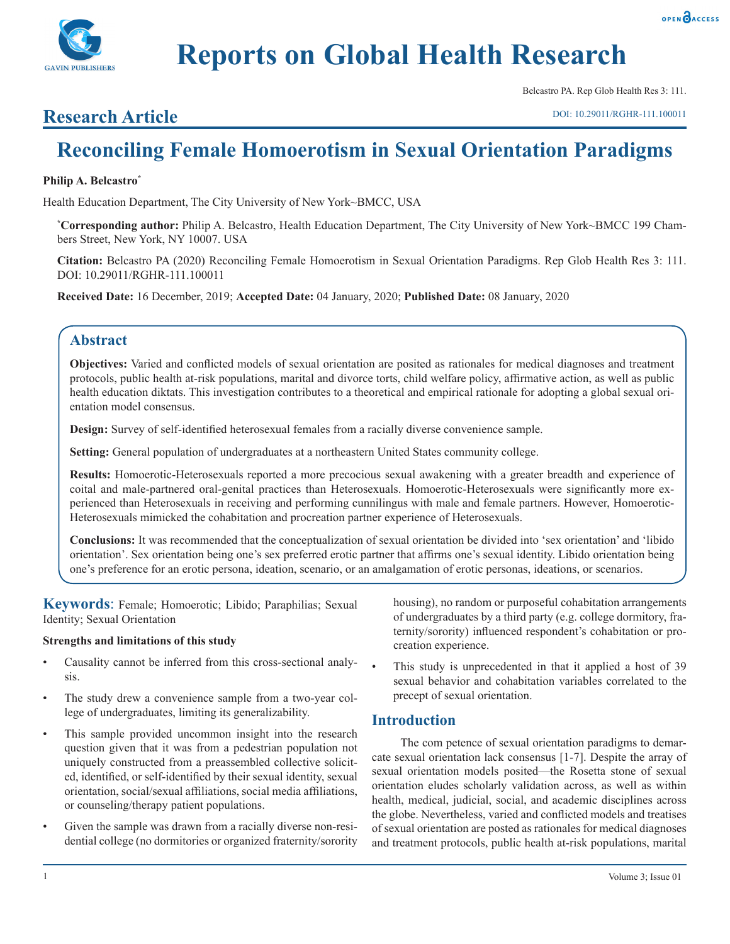

Belcastro PA. Rep Glob Health Res 3: 111.

## **Research Article**

# **Reconciling Female Homoerotism in Sexual Orientation Paradigms**

### **Philip A. Belcastro\***

Health Education Department, The City University of New York~BMCC, USA

**\* Corresponding author:** Philip A. Belcastro, Health Education Department, The City University of New York~BMCC 199 Chambers Street, New York, NY 10007. USA

**Citation:** Belcastro PA (2020) Reconciling Female Homoerotism in Sexual Orientation Paradigms. Rep Glob Health Res 3: 111. DOI: 10.29011/RGHR-111.100011

**Received Date:** 16 December, 2019; **Accepted Date:** 04 January, 2020; **Published Date:** 08 January, 2020

### **Abstract**

**Objectives:** Varied and conflicted models of sexual orientation are posited as rationales for medical diagnoses and treatment protocols, public health at-risk populations, marital and divorce torts, child welfare policy, affirmative action, as well as public health education diktats. This investigation contributes to a theoretical and empirical rationale for adopting a global sexual orientation model consensus.

**Design:** Survey of self-identified heterosexual females from a racially diverse convenience sample.

**Setting:** General population of undergraduates at a northeastern United States community college.

**Results:** Homoerotic-Heterosexuals reported a more precocious sexual awakening with a greater breadth and experience of coital and male-partnered oral-genital practices than Heterosexuals. Homoerotic-Heterosexuals were significantly more experienced than Heterosexuals in receiving and performing cunnilingus with male and female partners. However, Homoerotic-Heterosexuals mimicked the cohabitation and procreation partner experience of Heterosexuals.

**Conclusions:** It was recommended that the conceptualization of sexual orientation be divided into 'sex orientation' and 'libido orientation'. Sex orientation being one's sex preferred erotic partner that affirms one's sexual identity. Libido orientation being one's preference for an erotic persona, ideation, scenario, or an amalgamation of erotic personas, ideations, or scenarios.

**Keywords**: Female; Homoerotic; Libido; Paraphilias; Sexual Identity; Sexual Orientation

### **Strengths and limitations of this study**

- Causality cannot be inferred from this cross-sectional analysis.
- The study drew a convenience sample from a two-year college of undergraduates, limiting its generalizability.
- This sample provided uncommon insight into the research question given that it was from a pedestrian population not uniquely constructed from a preassembled collective solicited, identified, or self-identified by their sexual identity, sexual orientation, social/sexual affiliations, social media affiliations, or counseling/therapy patient populations.
- Given the sample was drawn from a racially diverse non-residential college (no dormitories or organized fraternity/sorority

housing), no random or purposeful cohabitation arrangements of undergraduates by a third party (e.g. college dormitory, fraternity/sorority) influenced respondent's cohabitation or procreation experience.

This study is unprecedented in that it applied a host of 39 sexual behavior and cohabitation variables correlated to the precept of sexual orientation.

### **Introduction**

The com petence of sexual orientation paradigms to demarcate sexual orientation lack consensus [1-7]. Despite the array of sexual orientation models posited—the Rosetta stone of sexual orientation eludes scholarly validation across, as well as within health, medical, judicial, social, and academic disciplines across the globe. Nevertheless, varied and conflicted models and treatises of sexual orientation are posted as rationales for medical diagnoses and treatment protocols, public health at-risk populations, marital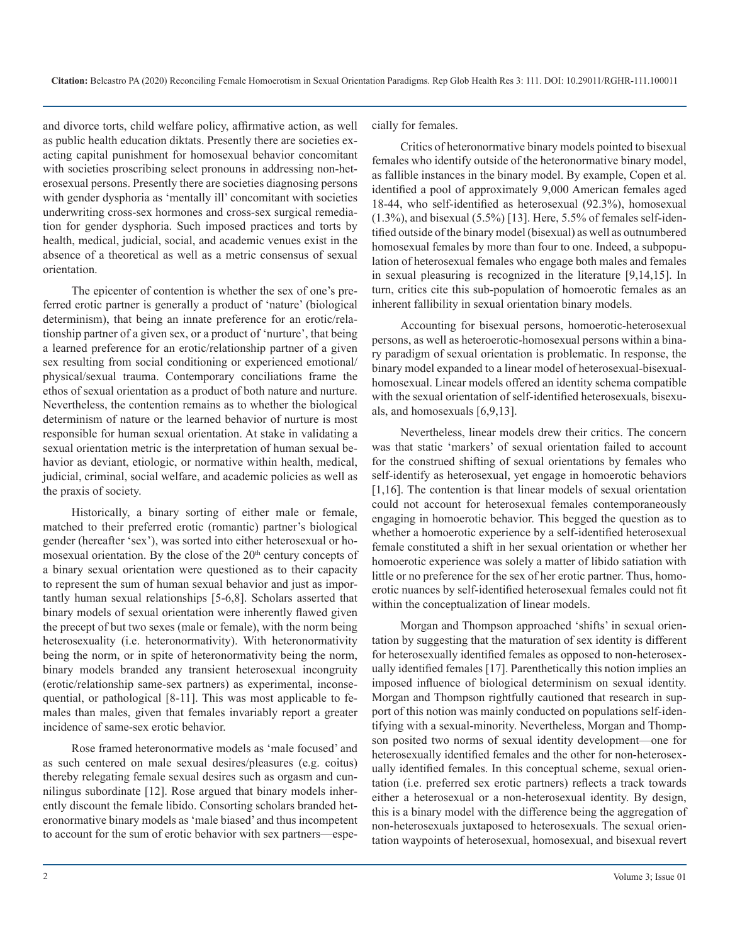and divorce torts, child welfare policy, affirmative action, as well as public health education diktats. Presently there are societies exacting capital punishment for homosexual behavior concomitant with societies proscribing select pronouns in addressing non-heterosexual persons. Presently there are societies diagnosing persons with gender dysphoria as 'mentally ill' concomitant with societies underwriting cross-sex hormones and cross-sex surgical remediation for gender dysphoria. Such imposed practices and torts by health, medical, judicial, social, and academic venues exist in the absence of a theoretical as well as a metric consensus of sexual orientation.

The epicenter of contention is whether the sex of one's preferred erotic partner is generally a product of 'nature' (biological determinism), that being an innate preference for an erotic/relationship partner of a given sex, or a product of 'nurture', that being a learned preference for an erotic/relationship partner of a given sex resulting from social conditioning or experienced emotional/ physical/sexual trauma. Contemporary conciliations frame the ethos of sexual orientation as a product of both nature and nurture. Nevertheless, the contention remains as to whether the biological determinism of nature or the learned behavior of nurture is most responsible for human sexual orientation. At stake in validating a sexual orientation metric is the interpretation of human sexual behavior as deviant, etiologic, or normative within health, medical, judicial, criminal, social welfare, and academic policies as well as the praxis of society.

Historically, a binary sorting of either male or female, matched to their preferred erotic (romantic) partner's biological gender (hereafter 'sex'), was sorted into either heterosexual or homosexual orientation. By the close of the 20<sup>th</sup> century concepts of a binary sexual orientation were questioned as to their capacity to represent the sum of human sexual behavior and just as importantly human sexual relationships [5-6,8]. Scholars asserted that binary models of sexual orientation were inherently flawed given the precept of but two sexes (male or female), with the norm being heterosexuality (i.e. heteronormativity). With heteronormativity being the norm, or in spite of heteronormativity being the norm, binary models branded any transient heterosexual incongruity (erotic/relationship same-sex partners) as experimental, inconsequential, or pathological [8-11]. This was most applicable to females than males, given that females invariably report a greater incidence of same-sex erotic behavior.

Rose framed heteronormative models as 'male focused' and as such centered on male sexual desires/pleasures (e.g. coitus) thereby relegating female sexual desires such as orgasm and cunnilingus subordinate [12]. Rose argued that binary models inherently discount the female libido. Consorting scholars branded heteronormative binary models as 'male biased' and thus incompetent to account for the sum of erotic behavior with sex partners—especially for females.

Critics of heteronormative binary models pointed to bisexual females who identify outside of the heteronormative binary model, as fallible instances in the binary model. By example, Copen et al. identified a pool of approximately 9,000 American females aged 18-44, who self-identified as heterosexual (92.3%), homosexual  $(1.3\%)$ , and bisexual  $(5.5\%)$  [13]. Here, 5.5% of females self-identified outside of the binary model (bisexual) as well as outnumbered homosexual females by more than four to one. Indeed, a subpopulation of heterosexual females who engage both males and females in sexual pleasuring is recognized in the literature [9,14,15]. In turn, critics cite this sub-population of homoerotic females as an inherent fallibility in sexual orientation binary models.

Accounting for bisexual persons, homoerotic-heterosexual persons, as well as heteroerotic-homosexual persons within a binary paradigm of sexual orientation is problematic. In response, the binary model expanded to a linear model of heterosexual-bisexualhomosexual. Linear models offered an identity schema compatible with the sexual orientation of self-identified heterosexuals, bisexuals, and homosexuals [6,9,13].

Nevertheless, linear models drew their critics. The concern was that static 'markers' of sexual orientation failed to account for the construed shifting of sexual orientations by females who self-identify as heterosexual, yet engage in homoerotic behaviors [1,16]. The contention is that linear models of sexual orientation could not account for heterosexual females contemporaneously engaging in homoerotic behavior. This begged the question as to whether a homoerotic experience by a self-identified heterosexual female constituted a shift in her sexual orientation or whether her homoerotic experience was solely a matter of libido satiation with little or no preference for the sex of her erotic partner. Thus, homoerotic nuances by self-identified heterosexual females could not fit within the conceptualization of linear models.

Morgan and Thompson approached 'shifts' in sexual orientation by suggesting that the maturation of sex identity is different for heterosexually identified females as opposed to non-heterosexually identified females [17]. Parenthetically this notion implies an imposed influence of biological determinism on sexual identity. Morgan and Thompson rightfully cautioned that research in support of this notion was mainly conducted on populations self-identifying with a sexual-minority. Nevertheless, Morgan and Thompson posited two norms of sexual identity development—one for heterosexually identified females and the other for non-heterosexually identified females. In this conceptual scheme, sexual orientation (i.e. preferred sex erotic partners) reflects a track towards either a heterosexual or a non-heterosexual identity. By design, this is a binary model with the difference being the aggregation of non-heterosexuals juxtaposed to heterosexuals. The sexual orientation waypoints of heterosexual, homosexual, and bisexual revert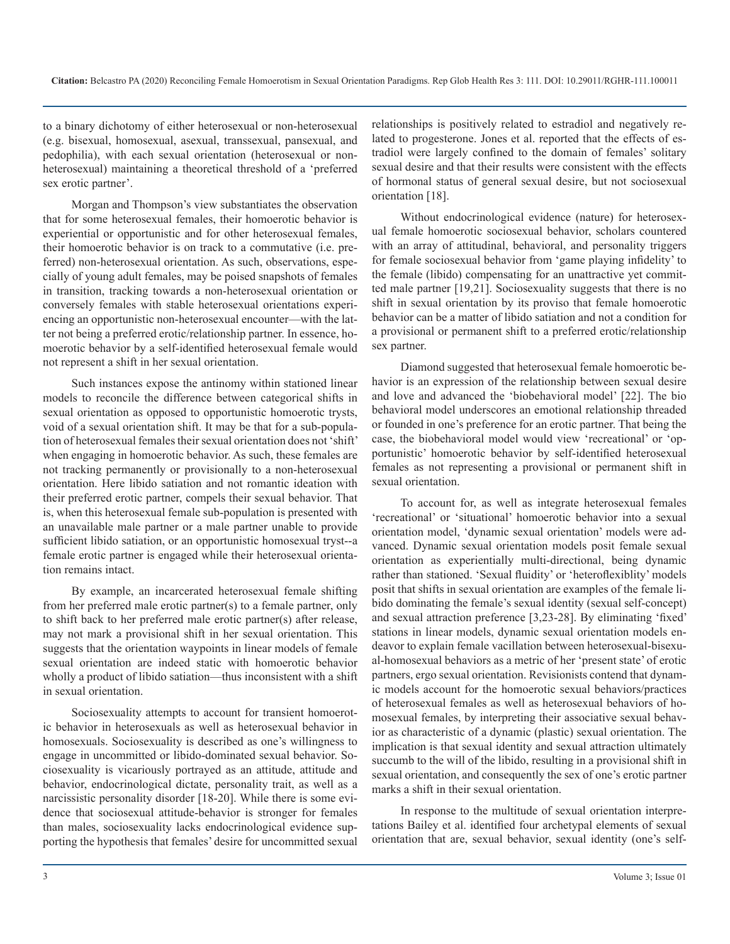to a binary dichotomy of either heterosexual or non-heterosexual (e.g. bisexual, homosexual, asexual, transsexual, pansexual, and pedophilia), with each sexual orientation (heterosexual or nonheterosexual) maintaining a theoretical threshold of a 'preferred sex erotic partner'.

Morgan and Thompson's view substantiates the observation that for some heterosexual females, their homoerotic behavior is experiential or opportunistic and for other heterosexual females, their homoerotic behavior is on track to a commutative (i.e. preferred) non-heterosexual orientation. As such, observations, especially of young adult females, may be poised snapshots of females in transition, tracking towards a non-heterosexual orientation or conversely females with stable heterosexual orientations experiencing an opportunistic non-heterosexual encounter—with the latter not being a preferred erotic/relationship partner. In essence, homoerotic behavior by a self-identified heterosexual female would not represent a shift in her sexual orientation.

Such instances expose the antinomy within stationed linear models to reconcile the difference between categorical shifts in sexual orientation as opposed to opportunistic homoerotic trysts, void of a sexual orientation shift. It may be that for a sub-population of heterosexual females their sexual orientation does not 'shift' when engaging in homoerotic behavior. As such, these females are not tracking permanently or provisionally to a non-heterosexual orientation. Here libido satiation and not romantic ideation with their preferred erotic partner, compels their sexual behavior. That is, when this heterosexual female sub-population is presented with an unavailable male partner or a male partner unable to provide sufficient libido satiation, or an opportunistic homosexual tryst--a female erotic partner is engaged while their heterosexual orientation remains intact.

By example, an incarcerated heterosexual female shifting from her preferred male erotic partner(s) to a female partner, only to shift back to her preferred male erotic partner(s) after release, may not mark a provisional shift in her sexual orientation. This suggests that the orientation waypoints in linear models of female sexual orientation are indeed static with homoerotic behavior wholly a product of libido satiation—thus inconsistent with a shift in sexual orientation.

Sociosexuality attempts to account for transient homoerotic behavior in heterosexuals as well as heterosexual behavior in homosexuals. Sociosexuality is described as one's willingness to engage in uncommitted or libido-dominated sexual behavior. Sociosexuality is vicariously portrayed as an attitude, attitude and behavior, endocrinological dictate, personality trait, as well as a narcissistic personality disorder [18-20]. While there is some evidence that sociosexual attitude-behavior is stronger for females than males, sociosexuality lacks endocrinological evidence supporting the hypothesis that females' desire for uncommitted sexual

relationships is positively related to estradiol and negatively related to progesterone. Jones et al. reported that the effects of estradiol were largely confined to the domain of females' solitary sexual desire and that their results were consistent with the effects of hormonal status of general sexual desire, but not sociosexual orientation [18].

Without endocrinological evidence (nature) for heterosexual female homoerotic sociosexual behavior, scholars countered with an array of attitudinal, behavioral, and personality triggers for female sociosexual behavior from 'game playing infidelity' to the female (libido) compensating for an unattractive yet committed male partner [19,21]. Sociosexuality suggests that there is no shift in sexual orientation by its proviso that female homoerotic behavior can be a matter of libido satiation and not a condition for a provisional or permanent shift to a preferred erotic/relationship sex partner.

Diamond suggested that heterosexual female homoerotic behavior is an expression of the relationship between sexual desire and love and advanced the 'biobehavioral model' [22]. The bio behavioral model underscores an emotional relationship threaded or founded in one's preference for an erotic partner. That being the case, the biobehavioral model would view 'recreational' or 'opportunistic' homoerotic behavior by self-identified heterosexual females as not representing a provisional or permanent shift in sexual orientation.

To account for, as well as integrate heterosexual females 'recreational' or 'situational' homoerotic behavior into a sexual orientation model, 'dynamic sexual orientation' models were advanced. Dynamic sexual orientation models posit female sexual orientation as experientially multi-directional, being dynamic rather than stationed. 'Sexual fluidity' or 'heteroflexiblity' models posit that shifts in sexual orientation are examples of the female libido dominating the female's sexual identity (sexual self-concept) and sexual attraction preference [3,23-28]. By eliminating 'fixed' stations in linear models, dynamic sexual orientation models endeavor to explain female vacillation between heterosexual-bisexual-homosexual behaviors as a metric of her 'present state' of erotic partners, ergo sexual orientation. Revisionists contend that dynamic models account for the homoerotic sexual behaviors/practices of heterosexual females as well as heterosexual behaviors of homosexual females, by interpreting their associative sexual behavior as characteristic of a dynamic (plastic) sexual orientation. The implication is that sexual identity and sexual attraction ultimately succumb to the will of the libido, resulting in a provisional shift in sexual orientation, and consequently the sex of one's erotic partner marks a shift in their sexual orientation.

In response to the multitude of sexual orientation interpretations Bailey et al. identified four archetypal elements of sexual orientation that are, sexual behavior, sexual identity (one's self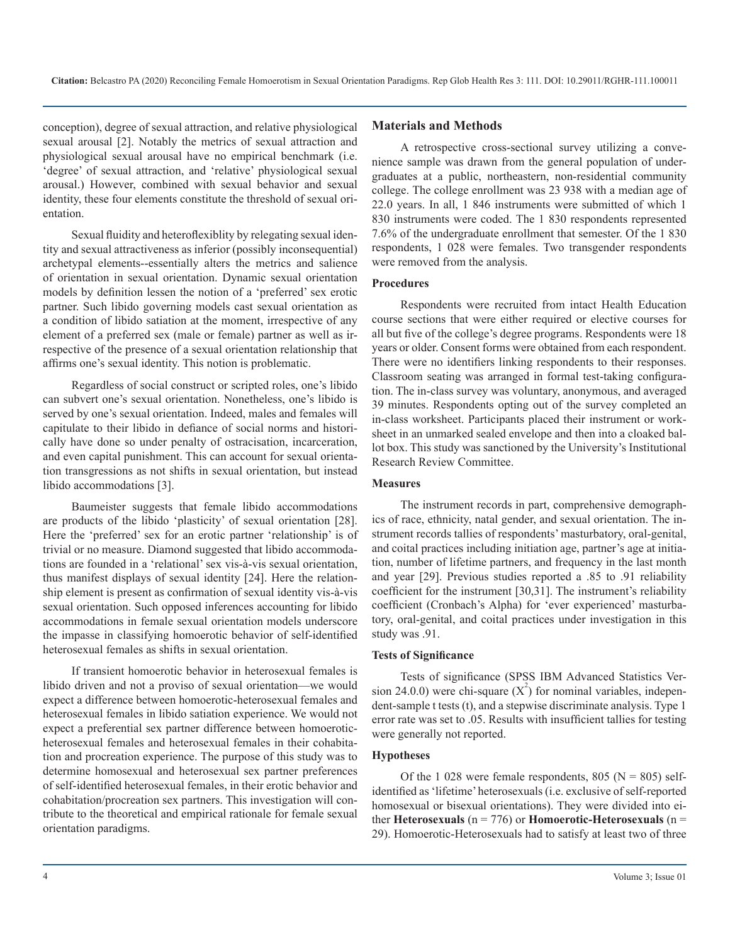conception), degree of sexual attraction, and relative physiological sexual arousal [2]. Notably the metrics of sexual attraction and physiological sexual arousal have no empirical benchmark (i.e. 'degree' of sexual attraction, and 'relative' physiological sexual arousal.) However, combined with sexual behavior and sexual identity, these four elements constitute the threshold of sexual orientation.

Sexual fluidity and heteroflexiblity by relegating sexual identity and sexual attractiveness as inferior (possibly inconsequential) archetypal elements--essentially alters the metrics and salience of orientation in sexual orientation. Dynamic sexual orientation models by definition lessen the notion of a 'preferred' sex erotic partner. Such libido governing models cast sexual orientation as a condition of libido satiation at the moment, irrespective of any element of a preferred sex (male or female) partner as well as irrespective of the presence of a sexual orientation relationship that affirms one's sexual identity. This notion is problematic.

Regardless of social construct or scripted roles, one's libido can subvert one's sexual orientation. Nonetheless, one's libido is served by one's sexual orientation. Indeed, males and females will capitulate to their libido in defiance of social norms and historically have done so under penalty of ostracisation, incarceration, and even capital punishment. This can account for sexual orientation transgressions as not shifts in sexual orientation, but instead libido accommodations [3].

Baumeister suggests that female libido accommodations are products of the libido 'plasticity' of sexual orientation [28]. Here the 'preferred' sex for an erotic partner 'relationship' is of trivial or no measure. Diamond suggested that libido accommodations are founded in a 'relational' sex vis-à-vis sexual orientation, thus manifest displays of sexual identity [24]. Here the relationship element is present as confirmation of sexual identity vis-à-vis sexual orientation. Such opposed inferences accounting for libido accommodations in female sexual orientation models underscore the impasse in classifying homoerotic behavior of self-identified heterosexual females as shifts in sexual orientation.

If transient homoerotic behavior in heterosexual females is libido driven and not a proviso of sexual orientation—we would expect a difference between homoerotic-heterosexual females and heterosexual females in libido satiation experience. We would not expect a preferential sex partner difference between homoeroticheterosexual females and heterosexual females in their cohabitation and procreation experience. The purpose of this study was to determine homosexual and heterosexual sex partner preferences of self-identified heterosexual females, in their erotic behavior and cohabitation/procreation sex partners. This investigation will contribute to the theoretical and empirical rationale for female sexual orientation paradigms.

### **Materials and Methods**

A retrospective cross-sectional survey utilizing a convenience sample was drawn from the general population of undergraduates at a public, northeastern, non-residential community college. The college enrollment was 23 938 with a median age of 22.0 years. In all, 1 846 instruments were submitted of which 1 830 instruments were coded. The 1 830 respondents represented 7.6% of the undergraduate enrollment that semester. Of the 1 830 respondents, 1 028 were females. Two transgender respondents were removed from the analysis.

#### **Procedures**

Respondents were recruited from intact Health Education course sections that were either required or elective courses for all but five of the college's degree programs. Respondents were 18 years or older. Consent forms were obtained from each respondent. There were no identifiers linking respondents to their responses. Classroom seating was arranged in formal test-taking configuration. The in-class survey was voluntary, anonymous, and averaged 39 minutes. Respondents opting out of the survey completed an in-class worksheet. Participants placed their instrument or worksheet in an unmarked sealed envelope and then into a cloaked ballot box. This study was sanctioned by the University's Institutional Research Review Committee.

#### **Measures**

The instrument records in part, comprehensive demographics of race, ethnicity, natal gender, and sexual orientation. The instrument records tallies of respondents' masturbatory, oral-genital, and coital practices including initiation age, partner's age at initiation, number of lifetime partners, and frequency in the last month and year [29]. Previous studies reported a .85 to .91 reliability coefficient for the instrument [30,31]. The instrument's reliability coefficient (Cronbach's Alpha) for 'ever experienced' masturbatory, oral-genital, and coital practices under investigation in this study was .91.

### **Tests of Significance**

Tests of significance (SPSS IBM Advanced Statistics Version 24.0.0) were chi-square  $(X^2)$  for nominal variables, independent-sample t tests (t), and a stepwise discriminate analysis. Type 1 error rate was set to .05. Results with insufficient tallies for testing were generally not reported.

### **Hypotheses**

Of the 1 028 were female respondents,  $805$  (N = 805) selfidentified as 'lifetime' heterosexuals (i.e. exclusive of self-reported homosexual or bisexual orientations). They were divided into either **Heterosexuals** ( $n = 776$ ) or **Homoerotic-Heterosexuals** ( $n =$ 29). Homoerotic-Heterosexuals had to satisfy at least two of three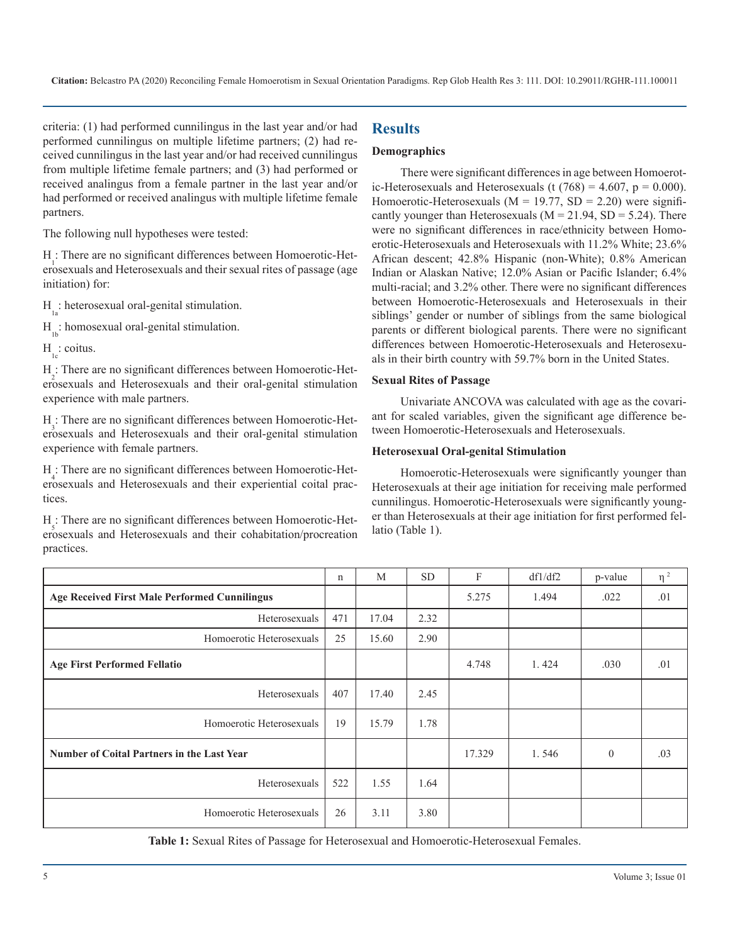criteria: (1) had performed cunnilingus in the last year and/or had performed cunnilingus on multiple lifetime partners; (2) had received cunnilingus in the last year and/or had received cunnilingus from multiple lifetime female partners; and (3) had performed or received analingus from a female partner in the last year and/or had performed or received analingus with multiple lifetime female partners.

The following null hypotheses were tested:

 $H_1$ : There are no significant differences between Homoerotic-Heterosexuals and Heterosexuals and their sexual rites of passage (age initiation) for:

 $H<sub>1</sub>$ : heterosexual oral-genital stimulation.

 $H_{11}$ : homosexual oral-genital stimulation.

 $H_1$ : coitus.

H<sub>2</sub>: There are no significant differences between Homoerotic-Heterosexuals and Heterosexuals and their oral-genital stimulation experience with male partners.

 $H<sub>3</sub>$ : There are no significant differences between Homoerotic-Heterosexuals and Heterosexuals and their oral-genital stimulation experience with female partners.

H<sub>4</sub>: There are no significant differences between Homoerotic-Heterosexuals and Heterosexuals and their experiential coital practices.

 $H_s$ : There are no significant differences between Homoerotic-Heterosexuals and Heterosexuals and their cohabitation/procreation practices.

### **Results**

### **Demographics**

There were significant differences in age between Homoerotic-Heterosexuals and Heterosexuals (t  $(768) = 4.607$ , p = 0.000). Homoerotic-Heterosexuals ( $M = 19.77$ ,  $SD = 2.20$ ) were significantly younger than Heterosexuals ( $M = 21.94$ ,  $SD = 5.24$ ). There were no significant differences in race/ethnicity between Homoerotic-Heterosexuals and Heterosexuals with 11.2% White; 23.6% African descent; 42.8% Hispanic (non-White); 0.8% American Indian or Alaskan Native; 12.0% Asian or Pacific Islander; 6.4% multi-racial; and 3.2% other. There were no significant differences between Homoerotic-Heterosexuals and Heterosexuals in their siblings' gender or number of siblings from the same biological parents or different biological parents. There were no significant differences between Homoerotic-Heterosexuals and Heterosexuals in their birth country with 59.7% born in the United States.

### **Sexual Rites of Passage**

Univariate ANCOVA was calculated with age as the covariant for scaled variables, given the significant age difference between Homoerotic-Heterosexuals and Heterosexuals.

### **Heterosexual Oral-genital Stimulation**

Homoerotic-Heterosexuals were significantly younger than Heterosexuals at their age initiation for receiving male performed cunnilingus. Homoerotic-Heterosexuals were significantly younger than Heterosexuals at their age initiation for first performed fellatio (Table 1).

|                                                      | n   | M     | <b>SD</b> | F      | df1/df2 | p-value        | $\eta^2$ |
|------------------------------------------------------|-----|-------|-----------|--------|---------|----------------|----------|
| <b>Age Received First Male Performed Cunnilingus</b> |     |       |           | 5.275  | 1.494   | .022           | .01      |
| Heterosexuals                                        | 471 | 17.04 | 2.32      |        |         |                |          |
| Homoerotic Heterosexuals                             | 25  | 15.60 | 2.90      |        |         |                |          |
| <b>Age First Performed Fellatio</b>                  |     |       |           | 4.748  | 1.424   | .030           | .01      |
| Heterosexuals                                        | 407 | 17.40 | 2.45      |        |         |                |          |
| Homoerotic Heterosexuals                             | 19  | 15.79 | 1.78      |        |         |                |          |
| <b>Number of Coital Partners in the Last Year</b>    |     |       |           | 17.329 | 1.546   | $\overline{0}$ | .03      |
| Heterosexuals                                        | 522 | 1.55  | 1.64      |        |         |                |          |
| Homoerotic Heterosexuals                             | 26  | 3.11  | 3.80      |        |         |                |          |

**Table 1:** Sexual Rites of Passage for Heterosexual and Homoerotic-Heterosexual Females.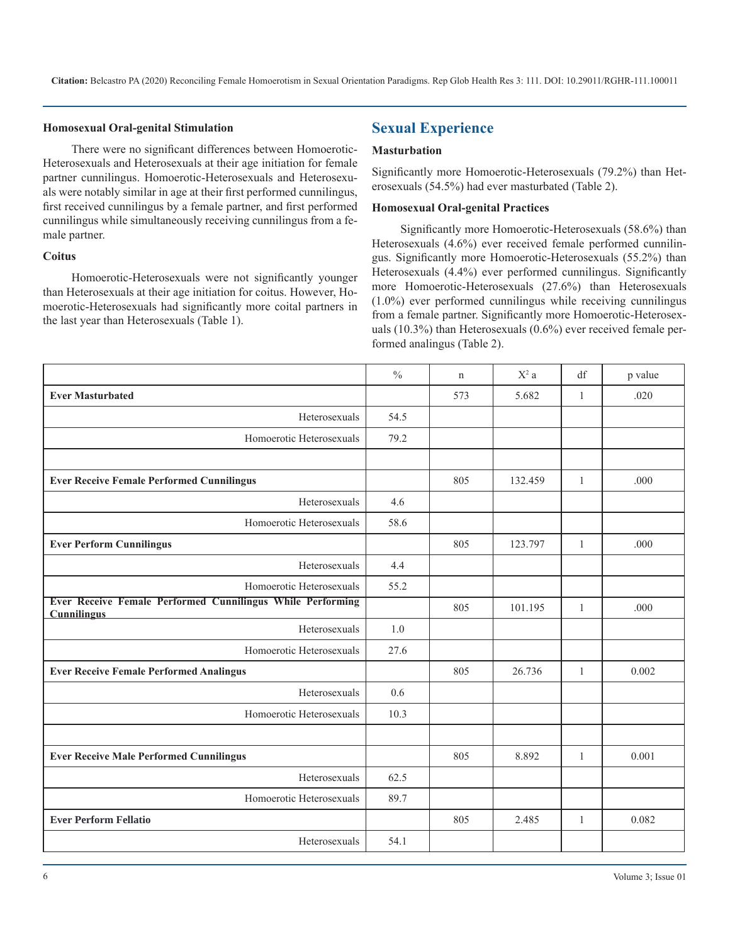#### **Homosexual Oral-genital Stimulation**

There were no significant differences between Homoerotic-Heterosexuals and Heterosexuals at their age initiation for female partner cunnilingus. Homoerotic-Heterosexuals and Heterosexuals were notably similar in age at their first performed cunnilingus, first received cunnilingus by a female partner, and first performed cunnilingus while simultaneously receiving cunnilingus from a female partner.

### **Coitus**

Homoerotic-Heterosexuals were not significantly younger than Heterosexuals at their age initiation for coitus. However, Homoerotic-Heterosexuals had significantly more coital partners in the last year than Heterosexuals (Table 1).

### **Sexual Experience**

### **Masturbation**

Significantly more Homoerotic-Heterosexuals (79.2%) than Heterosexuals (54.5%) had ever masturbated (Table 2).

#### **Homosexual Oral-genital Practices**

Significantly more Homoerotic-Heterosexuals (58.6%) than Heterosexuals (4.6%) ever received female performed cunnilingus. Significantly more Homoerotic-Heterosexuals (55.2%) than Heterosexuals (4.4%) ever performed cunnilingus. Significantly more Homoerotic-Heterosexuals (27.6%) than Heterosexuals (1.0%) ever performed cunnilingus while receiving cunnilingus from a female partner. Significantly more Homoerotic-Heterosexuals (10.3%) than Heterosexuals (0.6%) ever received female performed analingus (Table 2).

|                                                                                         | $\frac{0}{0}$ | $\mathbf n$ | $X^2$ a | df           | p value |
|-----------------------------------------------------------------------------------------|---------------|-------------|---------|--------------|---------|
| <b>Ever Masturbated</b>                                                                 |               | 573         | 5.682   | $\mathbf{1}$ | .020    |
| Heterosexuals                                                                           | 54.5          |             |         |              |         |
| Homoerotic Heterosexuals                                                                | 79.2          |             |         |              |         |
|                                                                                         |               |             |         |              |         |
| <b>Ever Receive Female Performed Cunnilingus</b>                                        |               | 805         | 132.459 | $\mathbf{1}$ | .000    |
| Heterosexuals                                                                           | 4.6           |             |         |              |         |
| Homoerotic Heterosexuals                                                                | 58.6          |             |         |              |         |
| <b>Ever Perform Cunnilingus</b>                                                         |               | 805         | 123.797 | $\mathbf{1}$ | .000    |
| Heterosexuals                                                                           | 4.4           |             |         |              |         |
| Homoerotic Heterosexuals                                                                | 55.2          |             |         |              |         |
| <b>Ever Receive Female Performed Cunnilingus While Performing</b><br><b>Cunnilingus</b> |               | 805         | 101.195 | $\mathbf{1}$ | .000    |
| Heterosexuals                                                                           | 1.0           |             |         |              |         |
| Homoerotic Heterosexuals                                                                | 27.6          |             |         |              |         |
| <b>Ever Receive Female Performed Analingus</b>                                          |               | 805         | 26.736  | $\mathbf{1}$ | 0.002   |
| Heterosexuals                                                                           | 0.6           |             |         |              |         |
| Homoerotic Heterosexuals                                                                | 10.3          |             |         |              |         |
|                                                                                         |               |             |         |              |         |
| <b>Ever Receive Male Performed Cunnilingus</b>                                          |               | 805         | 8.892   | $\mathbf{1}$ | 0.001   |
| Heterosexuals                                                                           | 62.5          |             |         |              |         |
| Homoerotic Heterosexuals                                                                | 89.7          |             |         |              |         |
| <b>Ever Perform Fellatio</b>                                                            |               | 805         | 2.485   | $\mathbf{1}$ | 0.082   |
| Heterosexuals                                                                           | 54.1          |             |         |              |         |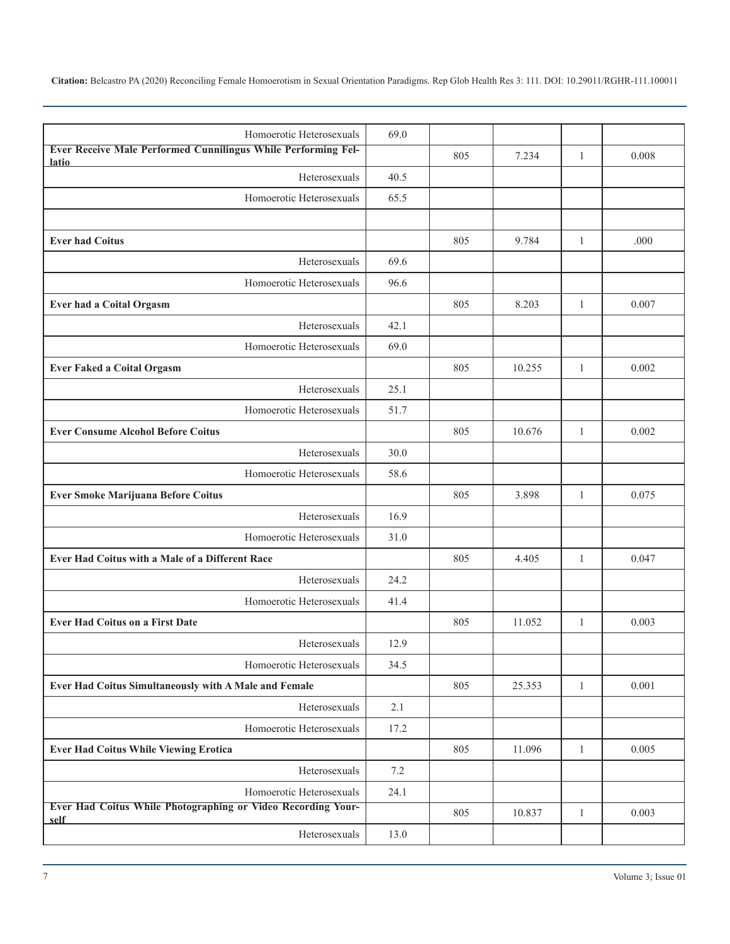| Homoerotic Heterosexuals                                                    | 69.0 |     |        |              |       |
|-----------------------------------------------------------------------------|------|-----|--------|--------------|-------|
| <b>Ever Receive Male Performed Cunnilingus While Performing Fel-</b>        |      | 805 | 7.234  | 1            | 0.008 |
| latio                                                                       |      |     |        |              |       |
| Heterosexuals                                                               | 40.5 |     |        |              |       |
| Homoerotic Heterosexuals                                                    | 65.5 |     |        |              |       |
|                                                                             |      |     |        |              |       |
| <b>Ever had Coitus</b>                                                      |      | 805 | 9.784  | 1            | .000  |
| Heterosexuals                                                               | 69.6 |     |        |              |       |
| Homoerotic Heterosexuals                                                    | 96.6 |     |        |              |       |
| <b>Ever had a Coital Orgasm</b>                                             |      | 805 | 8.203  | $\mathbf{1}$ | 0.007 |
| Heterosexuals                                                               | 42.1 |     |        |              |       |
| Homoerotic Heterosexuals                                                    | 69.0 |     |        |              |       |
| <b>Ever Faked a Coital Orgasm</b>                                           |      | 805 | 10.255 | 1            | 0.002 |
| Heterosexuals                                                               | 25.1 |     |        |              |       |
| Homoerotic Heterosexuals                                                    | 51.7 |     |        |              |       |
| <b>Ever Consume Alcohol Before Coitus</b>                                   |      | 805 | 10.676 | 1            | 0.002 |
| Heterosexuals                                                               | 30.0 |     |        |              |       |
| Homoerotic Heterosexuals                                                    | 58.6 |     |        |              |       |
| Ever Smoke Marijuana Before Coitus                                          |      | 805 | 3.898  | 1            | 0.075 |
| Heterosexuals                                                               | 16.9 |     |        |              |       |
| Homoerotic Heterosexuals                                                    | 31.0 |     |        |              |       |
| Ever Had Coitus with a Male of a Different Race                             |      | 805 | 4.405  | $\mathbf{1}$ | 0.047 |
| Heterosexuals                                                               | 24.2 |     |        |              |       |
| Homoerotic Heterosexuals                                                    |      |     |        |              |       |
|                                                                             | 41.4 |     |        |              |       |
| <b>Ever Had Coitus on a First Date</b>                                      |      | 805 | 11.052 | $\mathbf{1}$ | 0.003 |
| Heterosexuals                                                               | 12.9 |     |        |              |       |
| Homoerotic Heterosexuals                                                    | 34.5 |     |        |              |       |
| Ever Had Coitus Simultaneously with A Male and Female                       |      | 805 | 25.353 | $\mathbf{1}$ | 0.001 |
| Heterosexuals                                                               | 2.1  |     |        |              |       |
| Homoerotic Heterosexuals                                                    | 17.2 |     |        |              |       |
| <b>Ever Had Coitus While Viewing Erotica</b>                                |      | 805 | 11.096 | $\mathbf{1}$ | 0.005 |
| Heterosexuals                                                               | 7.2  |     |        |              |       |
| Homoerotic Heterosexuals                                                    | 24.1 |     |        |              |       |
| <b>Ever Had Coitus While Photographing or Video Recording Your-</b><br>self |      | 805 | 10.837 | 1            | 0.003 |
| Heterosexuals                                                               | 13.0 |     |        |              |       |
|                                                                             |      |     |        |              |       |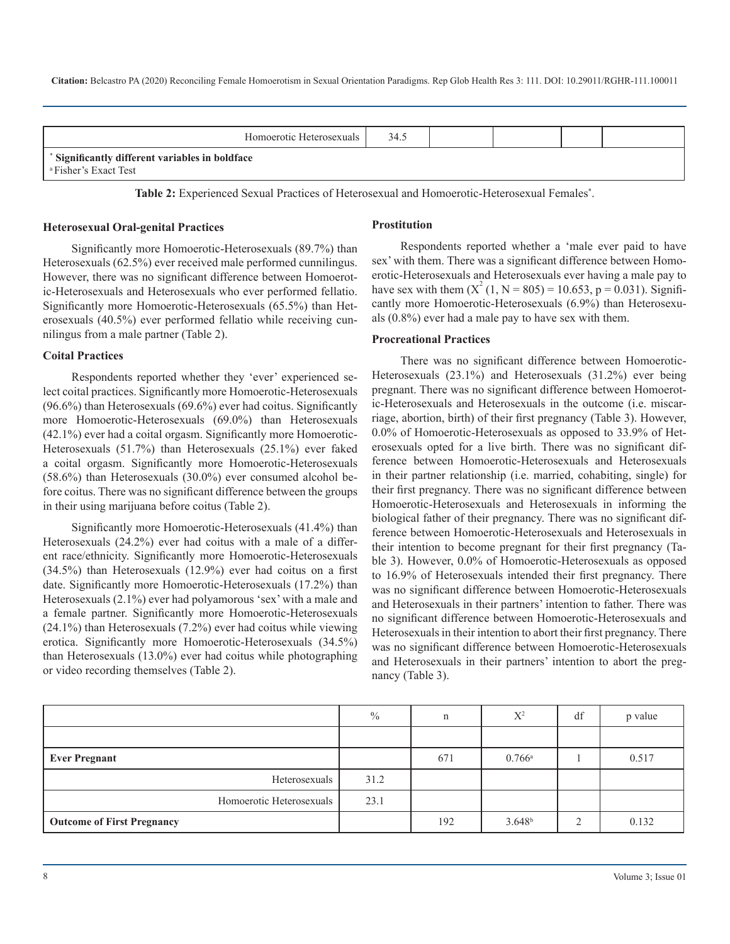| Homoerotic Heterosexuals 1                                                          | 34 <sup>5</sup> |  |  |
|-------------------------------------------------------------------------------------|-----------------|--|--|
| * Significantly different variables in boldface<br><sup>a</sup> Fisher's Exact Test |                 |  |  |

**Table 2:** Experienced Sexual Practices of Heterosexual and Homoerotic-Heterosexual Females\* .

#### **Heterosexual Oral-genital Practices**

Significantly more Homoerotic-Heterosexuals (89.7%) than Heterosexuals (62.5%) ever received male performed cunnilingus. However, there was no significant difference between Homoerotic-Heterosexuals and Heterosexuals who ever performed fellatio. Significantly more Homoerotic-Heterosexuals (65.5%) than Heterosexuals (40.5%) ever performed fellatio while receiving cunnilingus from a male partner (Table 2).

### **Coital Practices**

Respondents reported whether they 'ever' experienced select coital practices. Significantly more Homoerotic-Heterosexuals (96.6%) than Heterosexuals (69.6%) ever had coitus. Significantly more Homoerotic-Heterosexuals (69.0%) than Heterosexuals (42.1%) ever had a coital orgasm. Significantly more Homoerotic-Heterosexuals (51.7%) than Heterosexuals (25.1%) ever faked a coital orgasm. Significantly more Homoerotic-Heterosexuals (58.6%) than Heterosexuals (30.0%) ever consumed alcohol before coitus. There was no significant difference between the groups in their using marijuana before coitus (Table 2).

Significantly more Homoerotic-Heterosexuals (41.4%) than Heterosexuals (24.2%) ever had coitus with a male of a different race/ethnicity. Significantly more Homoerotic-Heterosexuals (34.5%) than Heterosexuals (12.9%) ever had coitus on a first date. Significantly more Homoerotic-Heterosexuals (17.2%) than Heterosexuals (2.1%) ever had polyamorous 'sex' with a male and a female partner. Significantly more Homoerotic-Heterosexuals (24.1%) than Heterosexuals (7.2%) ever had coitus while viewing erotica. Significantly more Homoerotic-Heterosexuals (34.5%) than Heterosexuals (13.0%) ever had coitus while photographing or video recording themselves (Table 2).

### **Prostitution**

Respondents reported whether a 'male ever paid to have sex' with them. There was a significant difference between Homoerotic-Heterosexuals and Heterosexuals ever having a male pay to have sex with them  $(X^{2}(1, N = 805) = 10.653, p = 0.031)$ . Significantly more Homoerotic-Heterosexuals (6.9%) than Heterosexuals (0.8%) ever had a male pay to have sex with them.

### **Procreational Practices**

There was no significant difference between Homoerotic-Heterosexuals (23.1%) and Heterosexuals (31.2%) ever being pregnant. There was no significant difference between Homoerotic-Heterosexuals and Heterosexuals in the outcome (i.e. miscarriage, abortion, birth) of their first pregnancy (Table 3). However, 0.0% of Homoerotic-Heterosexuals as opposed to 33.9% of Heterosexuals opted for a live birth. There was no significant difference between Homoerotic-Heterosexuals and Heterosexuals in their partner relationship (i.e. married, cohabiting, single) for their first pregnancy. There was no significant difference between Homoerotic-Heterosexuals and Heterosexuals in informing the biological father of their pregnancy. There was no significant difference between Homoerotic-Heterosexuals and Heterosexuals in their intention to become pregnant for their first pregnancy (Table 3). However, 0.0% of Homoerotic-Heterosexuals as opposed to 16.9% of Heterosexuals intended their first pregnancy. There was no significant difference between Homoerotic-Heterosexuals and Heterosexuals in their partners' intention to father. There was no significant difference between Homoerotic-Heterosexuals and Heterosexuals in their intention to abort their first pregnancy. There was no significant difference between Homoerotic-Heterosexuals and Heterosexuals in their partners' intention to abort the pregnancy (Table 3).

|                                   | $\%$ | n   | $X^2$              | df | p value |
|-----------------------------------|------|-----|--------------------|----|---------|
|                                   |      |     |                    |    |         |
| <b>Ever Pregnant</b>              |      | 671 | $0.766^{\rm a}$    |    | 0.517   |
| Heterosexuals                     | 31.2 |     |                    |    |         |
| Homoerotic Heterosexuals          | 23.1 |     |                    |    |         |
| <b>Outcome of First Pregnancy</b> |      | 192 | 3.648 <sup>b</sup> |    | 0.132   |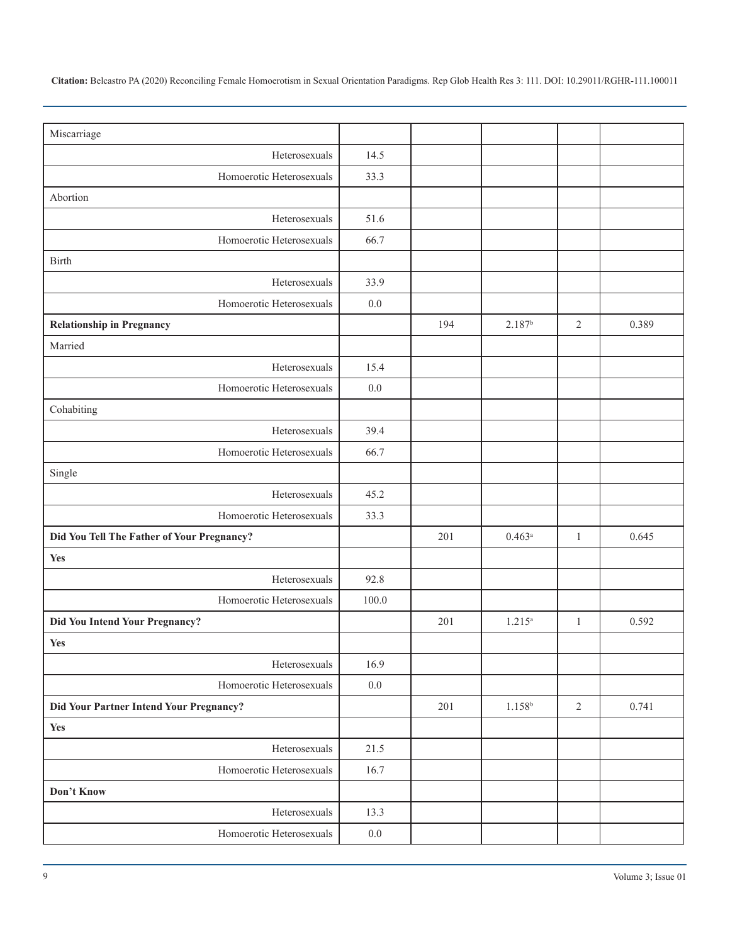| Miscarriage                                    |         |     |                    |                |       |
|------------------------------------------------|---------|-----|--------------------|----------------|-------|
| Heterosexuals                                  | 14.5    |     |                    |                |       |
| Homoerotic Heterosexuals                       | 33.3    |     |                    |                |       |
| Abortion                                       |         |     |                    |                |       |
| Heterosexuals                                  | 51.6    |     |                    |                |       |
| Homoerotic Heterosexuals                       | 66.7    |     |                    |                |       |
| <b>Birth</b>                                   |         |     |                    |                |       |
| Heterosexuals                                  | 33.9    |     |                    |                |       |
| Homoerotic Heterosexuals                       | 0.0     |     |                    |                |       |
| <b>Relationship in Pregnancy</b>               |         | 194 | 2.187 <sup>b</sup> | $\mathfrak{2}$ | 0.389 |
| Married                                        |         |     |                    |                |       |
| Heterosexuals                                  | 15.4    |     |                    |                |       |
| Homoerotic Heterosexuals                       | $0.0\,$ |     |                    |                |       |
| Cohabiting                                     |         |     |                    |                |       |
| Heterosexuals                                  | 39.4    |     |                    |                |       |
| Homoerotic Heterosexuals                       | 66.7    |     |                    |                |       |
| Single                                         |         |     |                    |                |       |
| Heterosexuals                                  | 45.2    |     |                    |                |       |
| Homoerotic Heterosexuals                       | 33.3    |     |                    |                |       |
| Did You Tell The Father of Your Pregnancy?     |         | 201 | $0.463^a$          | $\mathbf{1}$   | 0.645 |
| <b>Yes</b>                                     |         |     |                    |                |       |
| Heterosexuals                                  | 92.8    |     |                    |                |       |
| Homoerotic Heterosexuals                       | 100.0   |     |                    |                |       |
| <b>Did You Intend Your Pregnancy?</b>          |         | 201 | $1.215^{a}$        | $\mathbf{1}$   | 0.592 |
| Yes                                            |         |     |                    |                |       |
| Heterosexuals                                  | 16.9    |     |                    |                |       |
| Homoerotic Heterosexuals                       | $0.0\,$ |     |                    |                |       |
| <b>Did Your Partner Intend Your Pregnancy?</b> |         | 201 | $1.158^{b}$        | $\sqrt{2}$     | 0.741 |
| <b>Yes</b>                                     |         |     |                    |                |       |
| Heterosexuals                                  | 21.5    |     |                    |                |       |
| Homoerotic Heterosexuals                       | 16.7    |     |                    |                |       |
| Don't Know                                     |         |     |                    |                |       |
| Heterosexuals                                  | 13.3    |     |                    |                |       |
| Homoerotic Heterosexuals                       | $0.0\,$ |     |                    |                |       |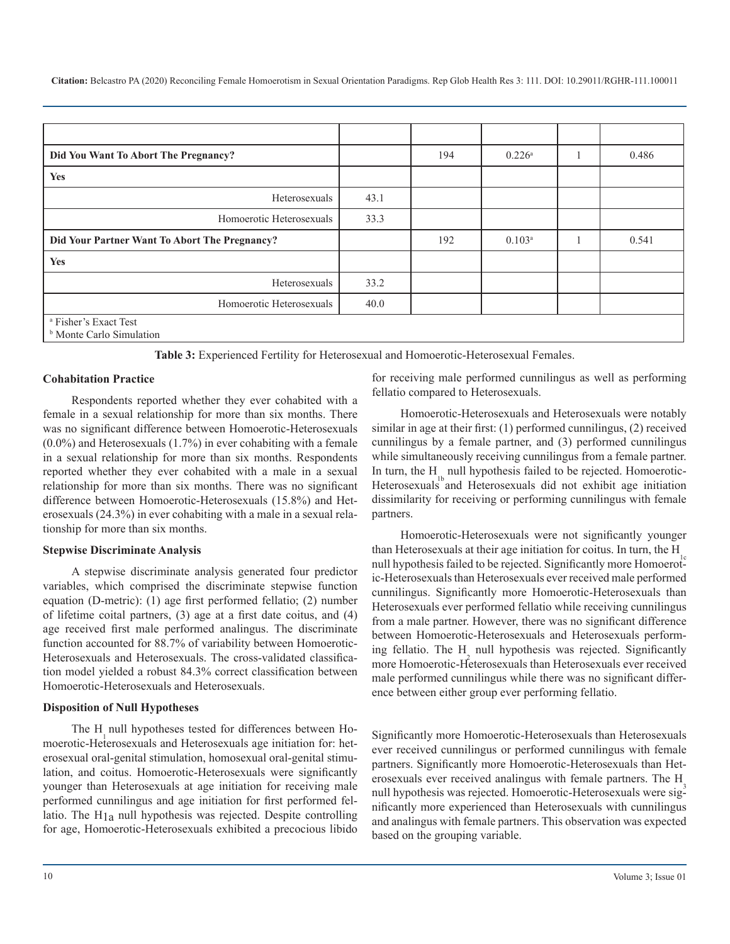| Did You Want To Abort The Pregnancy?                                    |      | 194 | $0.226^{\rm a}$ | 0.486 |
|-------------------------------------------------------------------------|------|-----|-----------------|-------|
| <b>Yes</b>                                                              |      |     |                 |       |
| Heterosexuals                                                           | 43.1 |     |                 |       |
| Homoerotic Heterosexuals                                                | 33.3 |     |                 |       |
| Did Your Partner Want To Abort The Pregnancy?                           |      | 192 | $0.103^{a}$     | 0.541 |
| <b>Yes</b>                                                              |      |     |                 |       |
| Heterosexuals                                                           | 33.2 |     |                 |       |
| Homoerotic Heterosexuals                                                | 40.0 |     |                 |       |
| <sup>a</sup> Fisher's Exact Test<br><sup>b</sup> Monte Carlo Simulation |      |     |                 |       |

**Table 3:** Experienced Fertility for Heterosexual and Homoerotic-Heterosexual Females.

### **Cohabitation Practice**

Respondents reported whether they ever cohabited with a female in a sexual relationship for more than six months. There was no significant difference between Homoerotic-Heterosexuals (0.0%) and Heterosexuals (1.7%) in ever cohabiting with a female in a sexual relationship for more than six months. Respondents reported whether they ever cohabited with a male in a sexual relationship for more than six months. There was no significant difference between Homoerotic-Heterosexuals (15.8%) and Heterosexuals (24.3%) in ever cohabiting with a male in a sexual relationship for more than six months.

### **Stepwise Discriminate Analysis**

A stepwise discriminate analysis generated four predictor variables, which comprised the discriminate stepwise function equation (D-metric): (1) age first performed fellatio; (2) number of lifetime coital partners, (3) age at a first date coitus, and (4) age received first male performed analingus. The discriminate function accounted for 88.7% of variability between Homoerotic-Heterosexuals and Heterosexuals. The cross-validated classification model yielded a robust 84.3% correct classification between Homoerotic-Heterosexuals and Heterosexuals.

### **Disposition of Null Hypotheses**

The H<sub>1</sub> null hypotheses tested for differences between H<sub>0</sub> moerotic-Heterosexuals and Heterosexuals age initiation for: heterosexual oral-genital stimulation, homosexual oral-genital stimulation, and coitus. Homoerotic-Heterosexuals were significantly younger than Heterosexuals at age initiation for receiving male performed cunnilingus and age initiation for first performed fellatio. The H1a null hypothesis was rejected. Despite controlling for age, Homoerotic-Heterosexuals exhibited a precocious libido for receiving male performed cunnilingus as well as performing fellatio compared to Heterosexuals.

Homoerotic-Heterosexuals and Heterosexuals were notably similar in age at their first: (1) performed cunnilingus, (2) received cunnilingus by a female partner, and (3) performed cunnilingus while simultaneously receiving cunnilingus from a female partner. In turn, the  $H_{1b}$  null hypothesis failed to be rejected. Homoerotic-Heterosexuals and Heterosexuals did not exhibit age initiation dissimilarity for receiving or performing cunnilingus with female partners.

Homoerotic-Heterosexuals were not significantly younger than Heterosexuals at their age initiation for coitus. In turn, the  $H_{\text{loc}}$  null hypothesis failed to be rejected. Significantly more Homoerotic-Heterosexuals than Heterosexuals ever received male performed cunnilingus. Significantly more Homoerotic-Heterosexuals than Heterosexuals ever performed fellatio while receiving cunnilingus from a male partner. However, there was no significant difference between Homoerotic-Heterosexuals and Heterosexuals performing fellatio. The H<sub>2</sub> null hypothesis was rejected. Significantly more Homoerotic-Heterosexuals than Heterosexuals ever received male performed cunnilingus while there was no significant difference between either group ever performing fellatio.

Significantly more Homoerotic-Heterosexuals than Heterosexuals ever received cunnilingus or performed cunnilingus with female partners. Significantly more Homoerotic-Heterosexuals than Heterosexuals ever received analingus with female partners. The  $H_3$  null hypothesis was rejected. Homoerotic-Heterosexuals were significantly more experienced than Heterosexuals with cunnilingus and analingus with female partners. This observation was expected based on the grouping variable.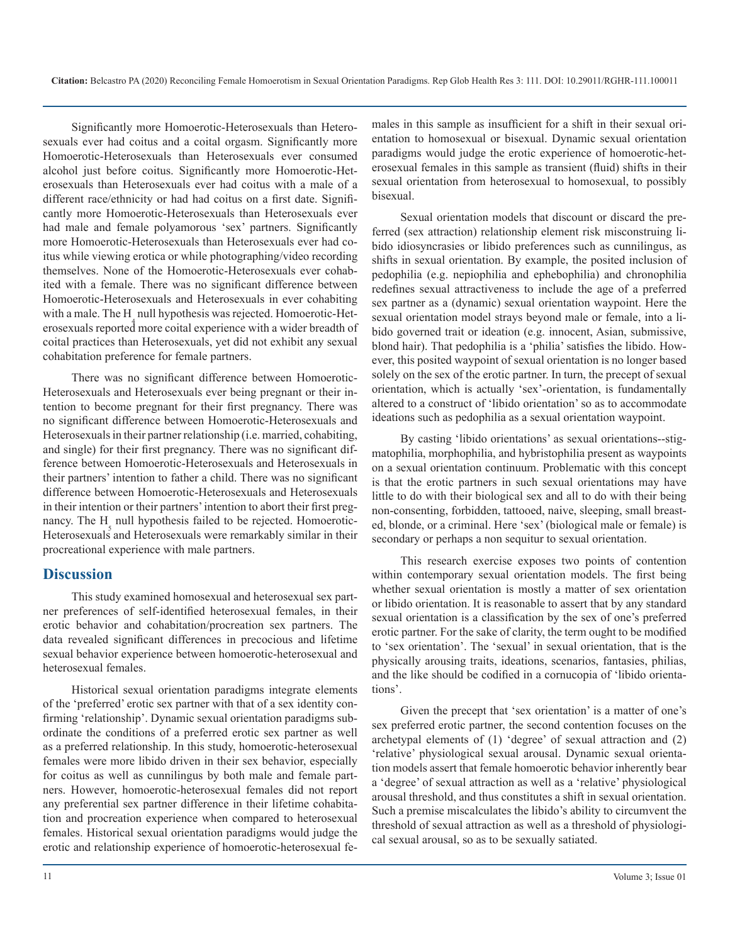Significantly more Homoerotic-Heterosexuals than Heterosexuals ever had coitus and a coital orgasm. Significantly more Homoerotic-Heterosexuals than Heterosexuals ever consumed alcohol just before coitus. Significantly more Homoerotic-Heterosexuals than Heterosexuals ever had coitus with a male of a different race/ethnicity or had had coitus on a first date. Significantly more Homoerotic-Heterosexuals than Heterosexuals ever had male and female polyamorous 'sex' partners. Significantly more Homoerotic-Heterosexuals than Heterosexuals ever had coitus while viewing erotica or while photographing/video recording themselves. None of the Homoerotic-Heterosexuals ever cohabited with a female. There was no significant difference between Homoerotic-Heterosexuals and Heterosexuals in ever cohabiting with a male. The  $H_1$  null hypothesis was rejected. Homoerotic-Heterosexuals reported more coital experience with a wider breadth of coital practices than Heterosexuals, yet did not exhibit any sexual cohabitation preference for female partners.

There was no significant difference between Homoerotic-Heterosexuals and Heterosexuals ever being pregnant or their intention to become pregnant for their first pregnancy. There was no significant difference between Homoerotic-Heterosexuals and Heterosexuals in their partner relationship (i.e. married, cohabiting, and single) for their first pregnancy. There was no significant difference between Homoerotic-Heterosexuals and Heterosexuals in their partners' intention to father a child. There was no significant difference between Homoerotic-Heterosexuals and Heterosexuals in their intention or their partners' intention to abort their first pregnancy. The H<sub>1</sub> null hypothesis failed to be rejected. Homoerotic-Heterosexuals and Heterosexuals were remarkably similar in their procreational experience with male partners.

### **Discussion**

This study examined homosexual and heterosexual sex partner preferences of self-identified heterosexual females, in their erotic behavior and cohabitation/procreation sex partners. The data revealed significant differences in precocious and lifetime sexual behavior experience between homoerotic-heterosexual and heterosexual females.

Historical sexual orientation paradigms integrate elements of the 'preferred' erotic sex partner with that of a sex identity confirming 'relationship'. Dynamic sexual orientation paradigms subordinate the conditions of a preferred erotic sex partner as well as a preferred relationship. In this study, homoerotic-heterosexual females were more libido driven in their sex behavior, especially for coitus as well as cunnilingus by both male and female partners. However, homoerotic-heterosexual females did not report any preferential sex partner difference in their lifetime cohabitation and procreation experience when compared to heterosexual females. Historical sexual orientation paradigms would judge the erotic and relationship experience of homoerotic-heterosexual females in this sample as insufficient for a shift in their sexual orientation to homosexual or bisexual. Dynamic sexual orientation paradigms would judge the erotic experience of homoerotic-heterosexual females in this sample as transient (fluid) shifts in their sexual orientation from heterosexual to homosexual, to possibly bisexual.

Sexual orientation models that discount or discard the preferred (sex attraction) relationship element risk misconstruing libido idiosyncrasies or libido preferences such as cunnilingus, as shifts in sexual orientation. By example, the posited inclusion of pedophilia (e.g. nepiophilia and ephebophilia) and chronophilia redefines sexual attractiveness to include the age of a preferred sex partner as a (dynamic) sexual orientation waypoint. Here the sexual orientation model strays beyond male or female, into a libido governed trait or ideation (e.g. innocent, Asian, submissive, blond hair). That pedophilia is a 'philia' satisfies the libido. However, this posited waypoint of sexual orientation is no longer based solely on the sex of the erotic partner. In turn, the precept of sexual orientation, which is actually 'sex'-orientation, is fundamentally altered to a construct of 'libido orientation' so as to accommodate ideations such as pedophilia as a sexual orientation waypoint.

By casting 'libido orientations' as sexual orientations--stigmatophilia, morphophilia, and hybristophilia present as waypoints on a sexual orientation continuum. Problematic with this concept is that the erotic partners in such sexual orientations may have little to do with their biological sex and all to do with their being non-consenting, forbidden, tattooed, naive, sleeping, small breasted, blonde, or a criminal. Here 'sex' (biological male or female) is secondary or perhaps a non sequitur to sexual orientation.

This research exercise exposes two points of contention within contemporary sexual orientation models. The first being whether sexual orientation is mostly a matter of sex orientation or libido orientation. It is reasonable to assert that by any standard sexual orientation is a classification by the sex of one's preferred erotic partner. For the sake of clarity, the term ought to be modified to 'sex orientation'. The 'sexual' in sexual orientation, that is the physically arousing traits, ideations, scenarios, fantasies, philias, and the like should be codified in a cornucopia of 'libido orientations'.

Given the precept that 'sex orientation' is a matter of one's sex preferred erotic partner, the second contention focuses on the archetypal elements of (1) 'degree' of sexual attraction and (2) 'relative' physiological sexual arousal. Dynamic sexual orientation models assert that female homoerotic behavior inherently bear a 'degree' of sexual attraction as well as a 'relative' physiological arousal threshold, and thus constitutes a shift in sexual orientation. Such a premise miscalculates the libido's ability to circumvent the threshold of sexual attraction as well as a threshold of physiological sexual arousal, so as to be sexually satiated.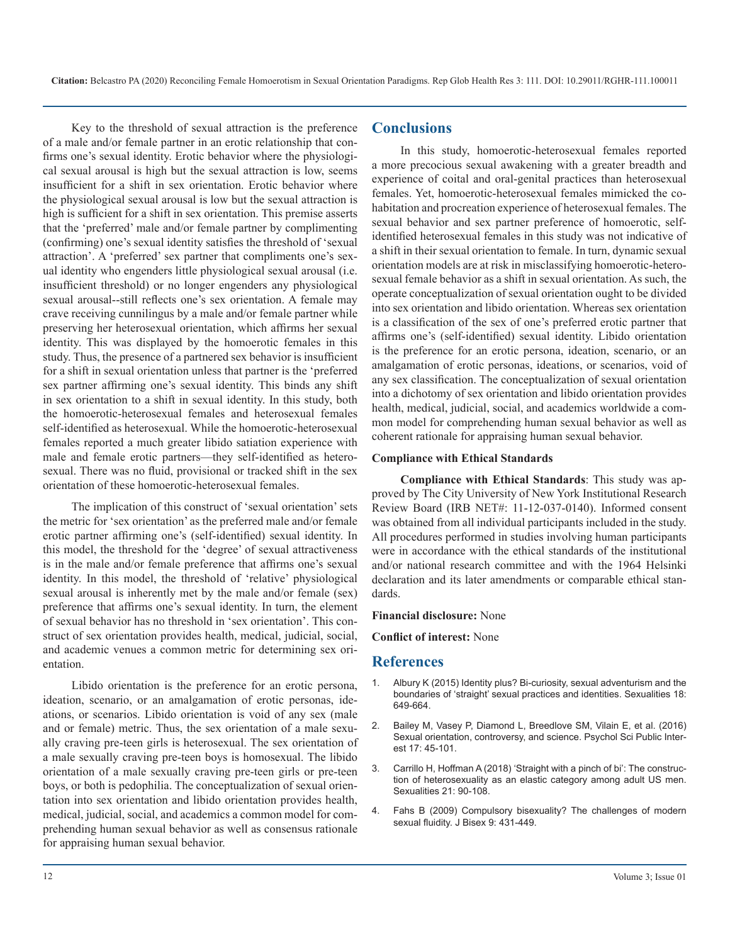Key to the threshold of sexual attraction is the preference of a male and/or female partner in an erotic relationship that confirms one's sexual identity. Erotic behavior where the physiological sexual arousal is high but the sexual attraction is low, seems insufficient for a shift in sex orientation. Erotic behavior where the physiological sexual arousal is low but the sexual attraction is high is sufficient for a shift in sex orientation. This premise asserts that the 'preferred' male and/or female partner by complimenting (confirming) one's sexual identity satisfies the threshold of 'sexual attraction'. A 'preferred' sex partner that compliments one's sexual identity who engenders little physiological sexual arousal (i.e. insufficient threshold) or no longer engenders any physiological sexual arousal--still reflects one's sex orientation. A female may crave receiving cunnilingus by a male and/or female partner while preserving her heterosexual orientation, which affirms her sexual identity. This was displayed by the homoerotic females in this study. Thus, the presence of a partnered sex behavior is insufficient for a shift in sexual orientation unless that partner is the 'preferred sex partner affirming one's sexual identity. This binds any shift in sex orientation to a shift in sexual identity. In this study, both the homoerotic-heterosexual females and heterosexual females self-identified as heterosexual. While the homoerotic-heterosexual females reported a much greater libido satiation experience with male and female erotic partners—they self-identified as heterosexual. There was no fluid, provisional or tracked shift in the sex orientation of these homoerotic-heterosexual females.

The implication of this construct of 'sexual orientation' sets the metric for 'sex orientation' as the preferred male and/or female erotic partner affirming one's (self-identified) sexual identity. In this model, the threshold for the 'degree' of sexual attractiveness is in the male and/or female preference that affirms one's sexual identity. In this model, the threshold of 'relative' physiological sexual arousal is inherently met by the male and/or female (sex) preference that affirms one's sexual identity. In turn, the element of sexual behavior has no threshold in 'sex orientation'. This construct of sex orientation provides health, medical, judicial, social, and academic venues a common metric for determining sex orientation.

Libido orientation is the preference for an erotic persona, ideation, scenario, or an amalgamation of erotic personas, ideations, or scenarios. Libido orientation is void of any sex (male and or female) metric. Thus, the sex orientation of a male sexually craving pre-teen girls is heterosexual. The sex orientation of a male sexually craving pre-teen boys is homosexual. The libido orientation of a male sexually craving pre-teen girls or pre-teen boys, or both is pedophilia. The conceptualization of sexual orientation into sex orientation and libido orientation provides health, medical, judicial, social, and academics a common model for comprehending human sexual behavior as well as consensus rationale for appraising human sexual behavior.

### **Conclusions**

In this study, homoerotic-heterosexual females reported a more precocious sexual awakening with a greater breadth and experience of coital and oral-genital practices than heterosexual females. Yet, homoerotic-heterosexual females mimicked the cohabitation and procreation experience of heterosexual females. The sexual behavior and sex partner preference of homoerotic, selfidentified heterosexual females in this study was not indicative of a shift in their sexual orientation to female. In turn, dynamic sexual orientation models are at risk in misclassifying homoerotic-heterosexual female behavior as a shift in sexual orientation. As such, the operate conceptualization of sexual orientation ought to be divided into sex orientation and libido orientation. Whereas sex orientation is a classification of the sex of one's preferred erotic partner that affirms one's (self-identified) sexual identity. Libido orientation is the preference for an erotic persona, ideation, scenario, or an amalgamation of erotic personas, ideations, or scenarios, void of any sex classification. The conceptualization of sexual orientation into a dichotomy of sex orientation and libido orientation provides health, medical, judicial, social, and academics worldwide a common model for comprehending human sexual behavior as well as coherent rationale for appraising human sexual behavior.

### **Compliance with Ethical Standards**

**Compliance with Ethical Standards**: This study was approved by The City University of New York Institutional Research Review Board (IRB NET#: 11-12-037-0140). Informed consent was obtained from all individual participants included in the study. All procedures performed in studies involving human participants were in accordance with the ethical standards of the institutional and/or national research committee and with the 1964 Helsinki declaration and its later amendments or comparable ethical standards.

#### **Financial disclosure:** None

**Conflict of interest:** None

### **References**

- 1. [Albury K \(2015\) Identity plus? Bi-curiosity, sexual adventurism and the](https://journals.sagepub.com/doi/full/10.1177/1363460714561672)  boundaries of 'straight' sexual practices and identities. Sexualities 18: [649-664.](https://journals.sagepub.com/doi/full/10.1177/1363460714561672)
- 2. [Bailey M, Vasey P, Diamond L, Breedlove SM, Vilain E, et al. \(2016\)](https://www.ncbi.nlm.nih.gov/pubmed/27113562)  Sexual orientation, controversy, and science. Psychol Sci Public Inter[est 17: 45-101.](https://www.ncbi.nlm.nih.gov/pubmed/27113562)
- 3. [Carrillo H, Hoffman A \(2018\) 'Straight with a pinch of bi': The construc](https://journals.sagepub.com/doi/10.1177/1363460716678561)tion of heterosexuality as an elastic category among adult US men. [Sexualities 21: 90-108.](https://journals.sagepub.com/doi/10.1177/1363460716678561)
- 4. [Fahs B \(2009\) Compulsory bisexuality? The challenges of modern](https://www.tandfonline.com/doi/full/10.1080/15299710903316661)  sexual fluidity. J Bisex 9: 431-449.